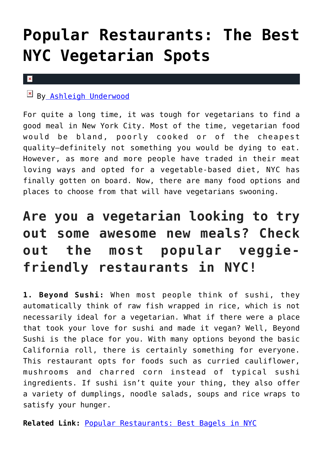## **[Popular Restaurants: The Best](https://cupidspulse.com/120727/popular-restaurants-best-nyc-vegetarian/) [NYC Vegetarian Spots](https://cupidspulse.com/120727/popular-restaurants-best-nyc-vegetarian/)**

## $\pmb{\times}$

B[y Ashleigh Underwood](http://cupidspulse.com/120629/ashleigh-underwood/)

For quite a long time, it was tough for vegetarians to find a good meal in New York City. Most of the time, vegetarian food would be bland, poorly cooked or of the cheapest quality–definitely not something you would be dying to eat. However, as more and more people have traded in their meat loving ways and opted for a vegetable-based diet, NYC has finally gotten on board. Now, there are many food options and places to choose from that will have vegetarians swooning.

## **Are you a vegetarian looking to try out some awesome new meals? Check out the most popular veggiefriendly restaurants in NYC!**

**1. Beyond Sushi:** When most people think of sushi, they automatically think of raw fish wrapped in rice, which is not necessarily ideal for a vegetarian. What if there were a place that took your love for sushi and made it vegan? Well, Beyond Sushi is the place for you. With many options beyond the basic California roll, there is certainly something for everyone. This restaurant opts for foods such as curried cauliflower, mushrooms and charred corn instead of typical sushi ingredients. If sushi isn't quite your thing, they also offer a variety of dumplings, noodle salads, soups and rice wraps to satisfy your hunger.

**Related Link:** [Popular Restaurants: Best Bagels in NYC](http://cupidspulse.com/118819/popular-restaurants-best-bagels-nyc/)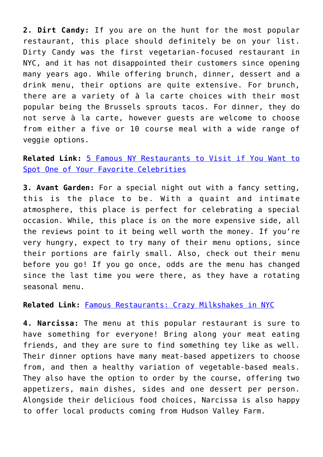**2. Dirt Candy:** If you are on the hunt for the most popular restaurant, this place should definitely be on your list. Dirty Candy was the first vegetarian-focused restaurant in NYC, and it has not disappointed their customers since opening many years ago. While offering brunch, dinner, dessert and a drink menu, their options are quite extensive. For brunch, there are a variety of à la carte choices with their most popular being the Brussels sprouts tacos. For dinner, they do not serve à la carte, however guests are welcome to choose from either a five or 10 course meal with a wide range of veggie options.

**Related Link:** [5 Famous NY Restaurants to Visit if You Want to](http://cupidspulse.com/118819/popular-restaurants-best-bagels-nyc/) [Spot One of Your Favorite Celebrities](http://cupidspulse.com/118819/popular-restaurants-best-bagels-nyc/)

**3. Avant Garden:** For a special night out with a fancy setting, this is the place to be. With a quaint and intimate atmosphere, this place is perfect for celebrating a special occasion. While, this place is on the more expensive side, all the reviews point to it being well worth the money. If you're very hungry, expect to try many of their menu options, since their portions are fairly small. Also, check out their menu before you go! If you go once, odds are the menu has changed since the last time you were there, as they have a rotating seasonal menu.

**Related Link:** [Famous Restaurants: Crazy Milkshakes in NYC](http://cupidspulse.com/118260/famous-restaurants-crazy-milkshakes-nyc/)

**4. Narcissa:** The menu at this popular restaurant is sure to have something for everyone! Bring along your meat eating friends, and they are sure to find something tey like as well. Their dinner options have many meat-based appetizers to choose from, and then a healthy variation of vegetable-based meals. They also have the option to order by the course, offering two appetizers, main dishes, sides and one dessert per person. Alongside their delicious food choices, Narcissa is also happy to offer local products coming from Hudson Valley Farm.